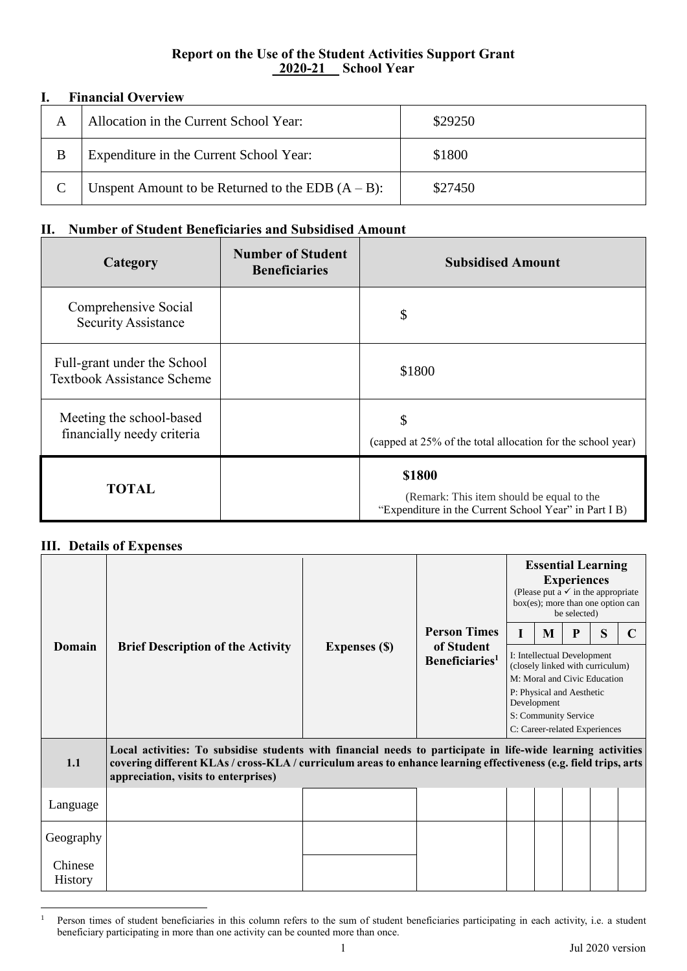## **Report on the Use of the Student Activities Support Grant \_2020-21\_\_ School Year**

## **I. Financial Overview**

| А | Allocation in the Current School Year:               | \$29250 |
|---|------------------------------------------------------|---------|
| B | Expenditure in the Current School Year:              | \$1800  |
|   | Unspent Amount to be Returned to the EDB $(A - B)$ : | \$27450 |

## **II. Number of Student Beneficiaries and Subsidised Amount**

| <b>Category</b>                                                  | <b>Number of Student</b><br><b>Beneficiaries</b> | <b>Subsidised Amount</b>                                                                                     |
|------------------------------------------------------------------|--------------------------------------------------|--------------------------------------------------------------------------------------------------------------|
| Comprehensive Social<br><b>Security Assistance</b>               |                                                  | $\mathcal{S}$                                                                                                |
| Full-grant under the School<br><b>Textbook Assistance Scheme</b> |                                                  | \$1800                                                                                                       |
| Meeting the school-based<br>financially needy criteria           |                                                  | \$<br>(capped at 25% of the total allocation for the school year)                                            |
| <b>TOTAL</b>                                                     |                                                  | \$1800<br>(Remark: This item should be equal to the<br>"Expenditure in the Current School Year" in Part I B) |

## **III. Details of Expenses**

|                                                                                                                                                                                                                                                                                 | <b>Brief Description of the Activity</b> | <b>Expenses (\$)</b> | <b>Person Times</b><br>of Student<br>Beneficiaries <sup>1</sup> | <b>Essential Learning</b><br><b>Experiences</b><br>(Please put a $\checkmark$ in the appropriate<br>box(es); more than one option can<br>be selected)                                                |   |   |   |  |  |  |
|---------------------------------------------------------------------------------------------------------------------------------------------------------------------------------------------------------------------------------------------------------------------------------|------------------------------------------|----------------------|-----------------------------------------------------------------|------------------------------------------------------------------------------------------------------------------------------------------------------------------------------------------------------|---|---|---|--|--|--|
|                                                                                                                                                                                                                                                                                 |                                          |                      |                                                                 |                                                                                                                                                                                                      | M | P | S |  |  |  |
| Domain                                                                                                                                                                                                                                                                          |                                          |                      |                                                                 | I: Intellectual Development<br>(closely linked with curriculum)<br>M: Moral and Civic Education<br>P: Physical and Aesthetic<br>Development<br>S: Community Service<br>C: Career-related Experiences |   |   |   |  |  |  |
| Local activities: To subsidise students with financial needs to participate in life-wide learning activities<br>1.1<br>covering different KLAs / cross-KLA / curriculum areas to enhance learning effectiveness (e.g. field trips, arts<br>appreciation, visits to enterprises) |                                          |                      |                                                                 |                                                                                                                                                                                                      |   |   |   |  |  |  |
| Language                                                                                                                                                                                                                                                                        |                                          |                      |                                                                 |                                                                                                                                                                                                      |   |   |   |  |  |  |
| Geography                                                                                                                                                                                                                                                                       |                                          |                      |                                                                 |                                                                                                                                                                                                      |   |   |   |  |  |  |
| Chinese<br><b>History</b>                                                                                                                                                                                                                                                       |                                          |                      |                                                                 |                                                                                                                                                                                                      |   |   |   |  |  |  |

 $\overline{a}$ <sup>1</sup> Person times of student beneficiaries in this column refers to the sum of student beneficiaries participating in each activity, i.e. a student beneficiary participating in more than one activity can be counted more than once.